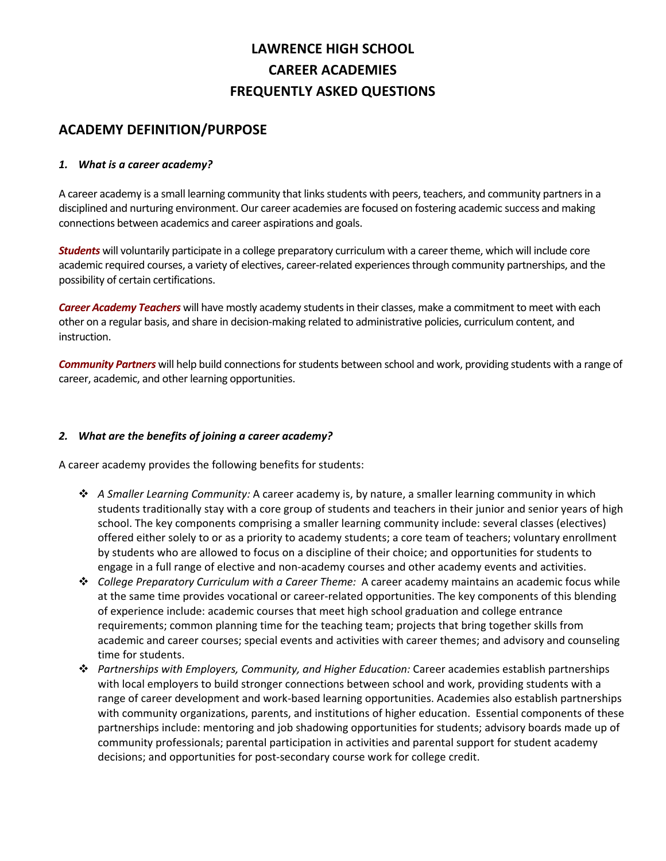# **LAWRENCE HIGH SCHOOL CAREER ACADEMIES FREQUENTLY ASKED QUESTIONS**

# **ACADEMY DEFINITION/PURPOSE**

#### *1. What is a career academy?*

A career academy is a small learning community that links students with peers, teachers, and community partners in a disciplined and nurturing environment. Our career academies are focused on fostering academic success and making connections between academics and career aspirations and goals.

*Students* will voluntarily participate in a college preparatory curriculum with a career theme, which will include core academic required courses, a variety of electives, career‐related experiencesthrough community partnerships, and the possibility of certain certifications.

*Career Academy Teachers* will have mostly academy studentsin their classes, make a commitment to meet with each other on a regular basis, and share in decision‐making related to administrative policies, curriculum content, and instruction.

**Community Partners** will help build connections for students between school and work, providing students with a range of career, academic, and other learning opportunities.

#### *2. What are the benefits of joining a career academy?*

A career academy provides the following benefits for students:

- *A Smaller Learning Community:* A career academy is, by nature, a smaller learning community in which students traditionally stay with a core group of students and teachers in their junior and senior years of high school. The key components comprising a smaller learning community include: several classes (electives) offered either solely to or as a priority to academy students; a core team of teachers; voluntary enrollment by students who are allowed to focus on a discipline of their choice; and opportunities for students to engage in a full range of elective and non-academy courses and other academy events and activities.
- *College Preparatory Curriculum with a Career Theme:* A career academy maintains an academic focus while at the same time provides vocational or career-related opportunities. The key components of this blending of experience include: academic courses that meet high school graduation and college entrance requirements; common planning time for the teaching team; projects that bring together skills from academic and career courses; special events and activities with career themes; and advisory and counseling time for students.
- *Partnerships with Employers, Community, and Higher Education:* Career academies establish partnerships with local employers to build stronger connections between school and work, providing students with a range of career development and work‐based learning opportunities. Academies also establish partnerships with community organizations, parents, and institutions of higher education. Essential components of these partnerships include: mentoring and job shadowing opportunities for students; advisory boards made up of community professionals; parental participation in activities and parental support for student academy decisions; and opportunities for post‐secondary course work for college credit.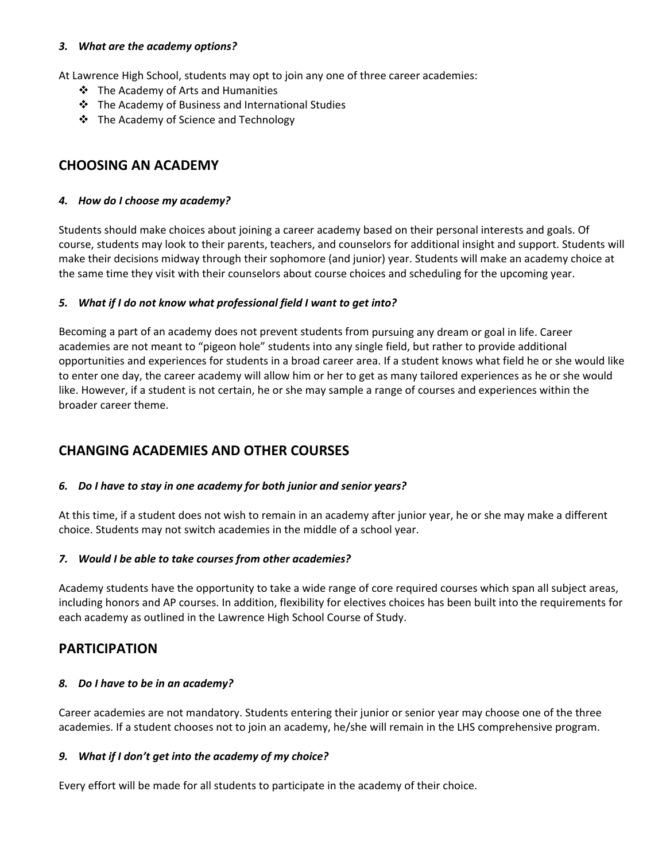#### *3. What are the academy options?*

At Lawrence High School, students may opt to join any one of three career academies:

- ❖ The Academy of Arts and Humanities
- The Academy of Business and International Studies
- The Academy of Science and Technology

# **CHOOSING AN ACADEMY**

#### *4. How do I choose my academy?*

Students should make choices about joining a career academy based on their personal interests and goals. Of course, students may look to their parents, teachers, and counselors for additional insight and support. Students will make their decisions midway through their sophomore (and junior) year. Students will make an academy choice at the same time they visit with their counselors about course choices and scheduling for the upcoming year.

#### *5. What if I do not know what professional field I want to get into?*

Becoming a part of an academy does not prevent students from pursuing any dream or goal in life. Career academies are not meant to "pigeon hole" students into any single field, but rather to provide additional opportunities and experiences for students in a broad career area. If a student knows what field he or she would like to enter one day, the career academy will allow him or her to get as many tailored experiences as he or she would like. However, if a student is not certain, he or she may sample a range of courses and experiences within the broader career theme.

# **CHANGING ACADEMIES AND OTHER COURSES**

#### *6. Do I have to stay in one academy for both junior and senior years?*

At this time, if a student does not wish to remain in an academy after junior year, he or she may make a different choice. Students may not switch academies in the middle of a school year.

#### *7. Would I be able to take courses from other academies?*

Academy students have the opportunity to take a wide range of core required courses which span all subject areas, including honors and AP courses. In addition, flexibility for electives choices has been built into the requirements for each academy as outlined in the Lawrence High School Course of Study.

## **PARTICIPATION**

#### *8. Do I have to be in an academy?*

Career academies are not mandatory. Students entering their junior or senior year may choose one of the three academies. If a student chooses not to join an academy, he/she will remain in the LHS comprehensive program.

### *9. What if I don't get into the academy of my choice?*

Every effort will be made for all students to participate in the academy of their choice.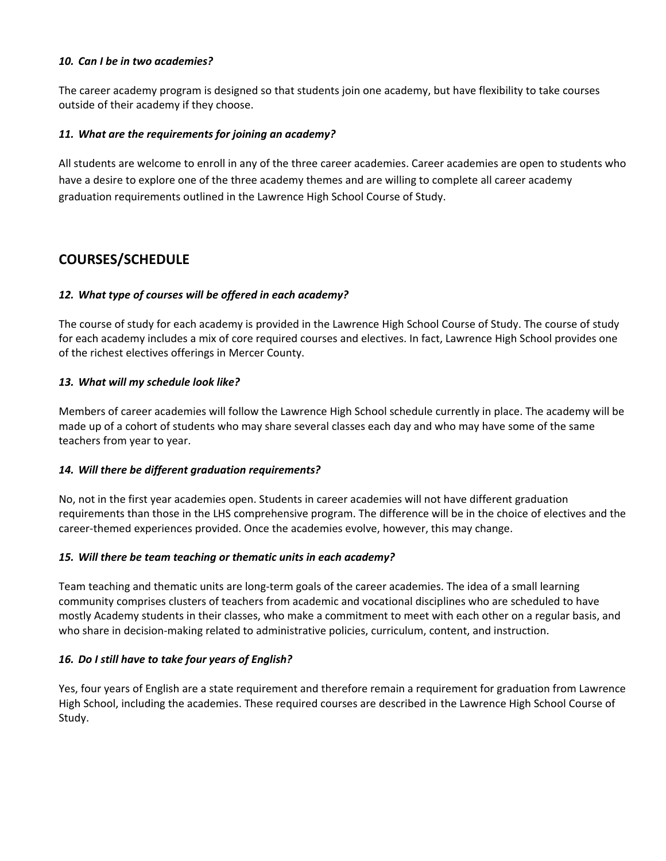#### *10. Can I be in two academies?*

The career academy program is designed so that students join one academy, but have flexibility to take courses outside of their academy if they choose.

#### *11. What are the requirements for joining an academy?*

All students are welcome to enroll in any of the three career academies. Career academies are open to students who have a desire to explore one of the three academy themes and are willing to complete all career academy graduation requirements outlined in the Lawrence High School Course of Study.

# **COURSES/SCHEDULE**

### *12. What type of courses will be offered in each academy?*

The course of study for each academy is provided in the Lawrence High School Course of Study. The course of study for each academy includes a mix of core required courses and electives. In fact, Lawrence High School provides one of the richest electives offerings in Mercer County.

#### *13. What will my schedule look like?*

Members of career academies will follow the Lawrence High School schedule currently in place. The academy will be made up of a cohort of students who may share several classes each day and who may have some of the same teachers from year to year.

#### *14. Will there be different graduation requirements?*

No, not in the first year academies open. Students in career academies will not have different graduation requirements than those in the LHS comprehensive program. The difference will be in the choice of electives and the career‐themed experiences provided. Once the academies evolve, however, this may change.

#### *15. Will there be team teaching or thematic units in each academy?*

Team teaching and thematic units are long‐term goals of the career academies. The idea of a small learning community comprises clusters of teachers from academic and vocational disciplines who are scheduled to have mostly Academy students in their classes, who make a commitment to meet with each other on a regular basis, and who share in decision-making related to administrative policies, curriculum, content, and instruction.

### *16. Do I still have to take four years of English?*

Yes, four years of English are a state requirement and therefore remain a requirement for graduation from Lawrence High School, including the academies. These required courses are described in the Lawrence High School Course of Study.